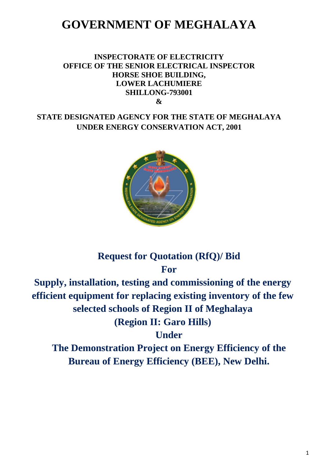# **GOVERNMENT OF MEGHALAYA**

### **INSPECTORATE OF ELECTRICITY OFFICE OF THE SENIOR ELECTRICAL INSPECTOR HORSE SHOE BUILDING, LOWER LACHUMIERE SHILLONG-793001 &**

## **STATE DESIGNATED AGENCY FOR THE STATE OF MEGHALAYA UNDER ENERGY CONSERVATION ACT, 2001**



## **Request for Quotation (RfQ)/ Bid For**

**Supply, installation, testing and commissioning of the energy efficient equipment for replacing existing inventory of the few selected schools of Region II of Meghalaya (Region II: Garo Hills)**

**Under** 

**The Demonstration Project on Energy Efficiency of the Bureau of Energy Efficiency (BEE), New Delhi.**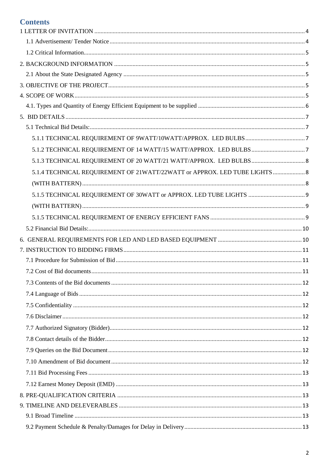## **Contents**

| 5.1.4 TECHNICAL REQUIREMENT OF 21WATT/22WATT or APPROX. LED TUBE LIGHTS  8 |  |
|----------------------------------------------------------------------------|--|
|                                                                            |  |
|                                                                            |  |
|                                                                            |  |
|                                                                            |  |
|                                                                            |  |
|                                                                            |  |
|                                                                            |  |
|                                                                            |  |
|                                                                            |  |
|                                                                            |  |
|                                                                            |  |
|                                                                            |  |
|                                                                            |  |
|                                                                            |  |
|                                                                            |  |
|                                                                            |  |
|                                                                            |  |
|                                                                            |  |
|                                                                            |  |
|                                                                            |  |
|                                                                            |  |
|                                                                            |  |
|                                                                            |  |
|                                                                            |  |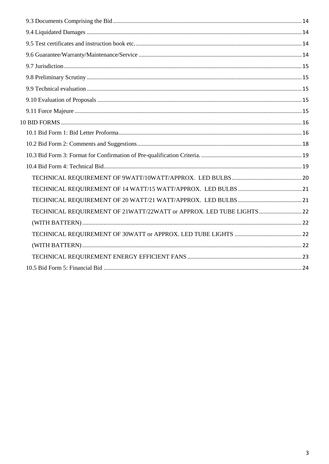| TECHNICAL REQUIREMENT OF 21WATT/22WATT or APPROX. LED TUBE LIGHTS22 |  |
|---------------------------------------------------------------------|--|
|                                                                     |  |
|                                                                     |  |
|                                                                     |  |
|                                                                     |  |
|                                                                     |  |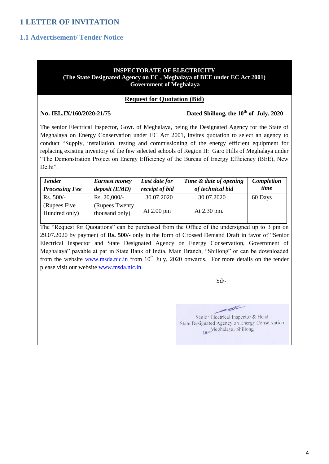## <span id="page-3-0"></span>**1 LETTER OF INVITATION**

### <span id="page-3-1"></span>**1.1 Advertisement/ Tender Notice**

#### **INSPECTORATE OF ELECTRICITY (The State Designated Agency on EC , Meghalaya of BEE under EC Act 2001) Government of Meghalaya**

#### **Request for Quotation (Bid)**

#### **No. IEL.IX/160/2020-21/75**

#### Dated Shillong, the 10<sup>th</sup> of July, 2020

The senior Electrical Inspector, Govt. of Meghalaya, being the Designated Agency for the State of Meghalaya on Energy Conservation under EC Act 2001, invites quotation to select an agency to conduct "Supply, installation, testing and commissioning of the energy efficient equipment for replacing existing inventory of the few selected schools of Region II: Garo Hills of Meghalaya under "The Demonstration Project on Energy Efficiency of the Bureau of Energy Efficiency (BEE), New Delhi".

| <b>Tender</b>                  | <b>Earnest money</b>              | Last date for  | Time & date of opening | Completion |
|--------------------------------|-----------------------------------|----------------|------------------------|------------|
| <b>Processing Fee</b>          | deposit (EMD)                     | receipt of bid | of technical bid       | time       |
| $Rs. 500/-$                    | $Rs. 20,000/$ -                   | 30.07.2020     | 30.07.2020             | 60 Days    |
| (Rupees Five)<br>Hundred only) | (Rupees Twenty)<br>thousand only) | At $2.00$ pm   | At 2.30 pm.            |            |

The "Request for Quotations" can be purchased from the Office of the undersigned up to 3 pm on 29.07.2020 by payment of **Rs. 500/-** only in the form of Crossed Demand Draft in favor of "Senior Electrical Inspector and State Designated Agency on Energy Conservation, Government of Meghalaya" payable at par in State Bank of India, Main Branch, "Shillong" or can be downloaded from the website [www.msda.nic.in](http://www.msda.nic.in/) from 10<sup>th</sup> July, 2020 onwards. For more details on the tender please visit our website [www.msda.nic.in.](http://www.msda.nic.in/)

Sd/-

عيسيس Senior Electrical Inspector & Head State Designated Agency on Energy Conservation LanMeghalaya, Shillong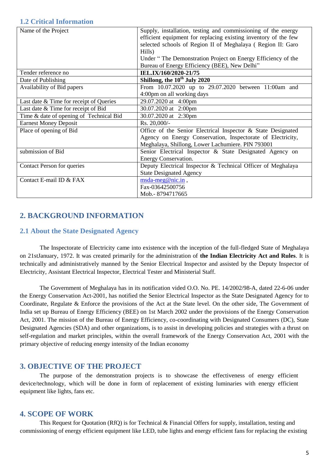### <span id="page-4-0"></span>**1.2 Critical Information**

| Name of the Project                     | Supply, installation, testing and commissioning of the energy<br>efficient equipment for replacing existing inventory of the few<br>selected schools of Region II of Meghalaya (Region II: Garo<br>Hills)<br>Under "The Demonstration Project on Energy Efficiency of the<br>Bureau of Energy Efficiency (BEE), New Delhi" |  |
|-----------------------------------------|----------------------------------------------------------------------------------------------------------------------------------------------------------------------------------------------------------------------------------------------------------------------------------------------------------------------------|--|
| Tender reference no                     | IEL.IX/160/2020-21/75                                                                                                                                                                                                                                                                                                      |  |
| Date of Publishing                      | Shillong, the 10 <sup>th</sup> July 2020                                                                                                                                                                                                                                                                                   |  |
| Availability of Bid papers              | From 10.07.2020 up to 29.07.2020 between 11:00am and                                                                                                                                                                                                                                                                       |  |
|                                         | 4:00pm on all working days                                                                                                                                                                                                                                                                                                 |  |
| Last date & Time for receipt of Queries | 29.07.2020 at 4:00pm                                                                                                                                                                                                                                                                                                       |  |
| Last date & Time for receipt of Bid     | 30.07.2020 at 2:00pm                                                                                                                                                                                                                                                                                                       |  |
| Time & date of opening of Technical Bid | 30.07.2020 at 2:30pm                                                                                                                                                                                                                                                                                                       |  |
| <b>Earnest Money Deposit</b>            | Rs. 20,000/-                                                                                                                                                                                                                                                                                                               |  |
| Place of opening of Bid                 | Office of the Senior Electrical Inspector & State Designated                                                                                                                                                                                                                                                               |  |
|                                         | Agency on Energy Conservation, Inspectorate of Electricity,                                                                                                                                                                                                                                                                |  |
|                                         | Meghalaya, Shillong, Lower Lachumiere. PIN 793001                                                                                                                                                                                                                                                                          |  |
| submission of Bid                       | Senior Electrical Inspector & State Designated Agency on                                                                                                                                                                                                                                                                   |  |
|                                         | Energy Conservation.                                                                                                                                                                                                                                                                                                       |  |
| Contact Person for queries              | Deputy Electrical Inspector & Technical Officer of Meghalaya                                                                                                                                                                                                                                                               |  |
|                                         | <b>State Designated Agency</b>                                                                                                                                                                                                                                                                                             |  |
| Contact E-mail ID & FAX                 | $msda-meg@nic.in$ ,                                                                                                                                                                                                                                                                                                        |  |
|                                         | Fax-03642500756                                                                                                                                                                                                                                                                                                            |  |
|                                         | Mob.-8794717665                                                                                                                                                                                                                                                                                                            |  |

### <span id="page-4-1"></span>**2. BACKGROUND INFORMATION**

### <span id="page-4-2"></span>**2.1 About the State Designated Agency**

The Inspectorate of Electricity came into existence with the inception of the full-fledged State of Meghalaya on 21stJanuary, 1972. It was created primarily for the administration of **the Indian Electricity Act and Rules**. It is technically and administratively manned by the Senior Electrical Inspector and assisted by the Deputy Inspector of Electricity, Assistant Electrical Inspector, Electrical Tester and Ministerial Staff.

 The Government of Meghalaya has in its notification vided O.O. No. PE. 14/2002/98-A, dated 22-6-06 under the Energy Conservation Act-2001, has notified the Senior Electrical Inspector as the State Designated Agency for to Coordinate, Regulate & Enforce the provisions of the Act at the State level. On the other side, The Government of India set up Bureau of Energy Efficiency (BEE) on 1st March 2002 under the provisions of the Energy Conservation Act, 2001. The mission of the Bureau of Energy Efficiency, co-coordinating with Designated Consumers (DC), State Designated Agencies (SDA) and other organizations, is to assist in developing policies and strategies with a thrust on self-regulation and market principles, within the overall framework of the Energy Conservation Act, 2001 with the primary objective of reducing energy intensity of the Indian economy

### <span id="page-4-3"></span>**3. OBJECTIVE OF THE PROJECT**

The purpose of the demonstration projects is to showcase the effectiveness of energy efficient device/technology, which will be done in form of replacement of existing luminaries with energy efficient equipment like lights, fans etc.

### <span id="page-4-4"></span>**4. SCOPE OF WORK**

This Request for Quotation (RfQ) is for Technical & Financial Offers for supply, installation, testing and commissioning of energy efficient equipment like LED, tube lights and energy efficient fans for replacing the existing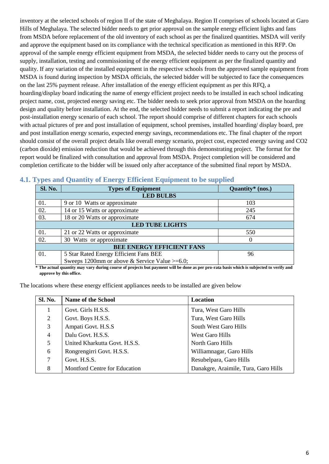inventory at the selected schools of region II of the state of Meghalaya. Region II comprises of schools located at Garo Hills of Meghalaya. The selected bidder needs to get prior approval on the sample energy efficient lights and fans from MSDA before replacement of the old inventory of each school as per the finalized quantities. MSDA will verify and approve the equipment based on its compliance with the technical specification as mentioned in this RFP. On approval of the sample energy efficient equipment from MSDA, the selected bidder needs to carry out the process of supply, installation, testing and commissioning of the energy efficient equipment as per the finalized quantity and quality. If any variation of the installed equipment in the respective schools from the approved sample equipment from MSDA is found during inspection by MSDA officials, the selected bidder will be subjected to face the consequences on the last 25% payment release. After installation of the energy efficient equipment as per this RFQ, a hoarding/display board indicating the name of energy efficient project needs to be installed in each school indicating project name, cost, projected energy saving etc. The bidder needs to seek prior approval from MSDA on the hoarding design and quality before installation. At the end, the selected bidder needs to submit a report indicating the pre and post-installation energy scenario of each school. The report should comprise of different chapters for each schools with actual pictures of pre and post installation of equipment, school premises, installed hoarding/ display board, pre and post installation energy scenario, expected energy savings, recommendations etc. The final chapter of the report should consist of the overall project details like overall energy scenario, project cost, expected energy saving and CO2 (carbon dioxide) emission reduction that would be achieved through this demonstrating project. The format for the report would be finalized with consultation and approval from MSDA. Project completion will be considered and completion certificate to the bidder will be issued only after acceptance of the submitted final report by MSDA.

| <b>Sl. No.</b>                   | <b>Types of Equipment</b>                         | Quantity $*$ (nos.) |  |
|----------------------------------|---------------------------------------------------|---------------------|--|
|                                  | <b>LED BULBS</b>                                  |                     |  |
| 01.                              | 9 or 10 Watts or approximate                      | 103                 |  |
| 02.                              | 14 or 15 Watts or approximate                     | 245                 |  |
| 03.                              | 18 or 20 Watts or approximate                     | 674                 |  |
|                                  | <b>LED TUBE LIGHTS</b>                            |                     |  |
| 01.                              | 21 or 22 Watts or approximate                     | 550                 |  |
| 02.                              | 30 Watts or approximate                           | $\theta$            |  |
| <b>BEE ENERGY EFFICIENT FANS</b> |                                                   |                     |  |
| 01.                              | 5 Star Rated Energy Efficient Fans BEE            | 96                  |  |
|                                  | Sweeps 1200mm or above & Service Value $>= 6.0$ ; |                     |  |

### <span id="page-5-0"></span>**4.1. Types and Quantity of Energy Efficient Equipment to be supplied**

**\* The actual quantity may vary during course of projects but payment will be done as per pro-rata basis which is subjected to verify and approve by this office.** 

The locations where these energy efficient appliances needs to be installed are given below

| Sl. No.         | <b>Name of the School</b>     | Location                             |
|-----------------|-------------------------------|--------------------------------------|
|                 | Govt. Girls H.S.S.            | Tura, West Garo Hills                |
| $\overline{2}$  | Govt. Boys H.S.S.             | Tura, West Garo Hills                |
| 3               | Ampati Govt. H.S.S            | South West Garo Hills                |
| 4               | Dalu Govt. H.S.S.             | West Garo Hills                      |
| 5               | United Kharkutta Govt. H.S.S. | North Garo Hills                     |
| 6               | Rongrengirri Govt. H.S.S.     | Williamnagar, Garo Hills             |
| $7\phantom{.0}$ | Govt. H.S.S.                  | Resubelpara, Garo Hills              |
| 8               | Montford Centre for Education | Danakgre, Araimile, Tura, Garo Hills |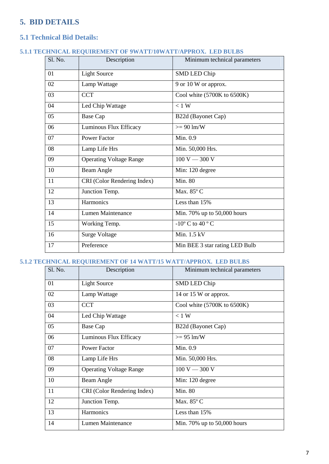## <span id="page-6-0"></span>**5. BID DETAILS**

## <span id="page-6-1"></span>**5.1 Technical Bid Details:**

#### <span id="page-6-2"></span>**5.1.1 TECHNICAL REQUIREMENT OF 9WATT/10WATT/APPROX. LED BULBS**

| Sl. No. | Description                    | Minimum technical parameters   |
|---------|--------------------------------|--------------------------------|
| 01      | <b>Light Source</b>            | <b>SMD LED Chip</b>            |
| 02      | Lamp Wattage                   | 9 or 10 W or approx.           |
| 03      | <b>CCT</b>                     | Cool white (5700K to 6500K)    |
| 04      | Led Chip Wattage               | $< 1$ W                        |
| 05      | <b>Base Cap</b>                | B22d (Bayonet Cap)             |
| 06      | Luminous Flux Efficacy         | $>= 90 \text{ lm/W}$           |
| 07      | <b>Power Factor</b>            | Min. 0.9                       |
| 08      | Lamp Life Hrs                  | Min. 50,000 Hrs.               |
| 09      | <b>Operating Voltage Range</b> | $100 V - 300 V$                |
| 10      | Beam Angle                     | Min: 120 degree                |
| 11      | CRI (Color Rendering Index)    | <b>Min. 80</b>                 |
| 12      | Junction Temp.                 | Max. 85° C                     |
| 13      | Harmonics                      | Less than 15%                  |
| 14      | <b>Lumen Maintenance</b>       | Min. 70% up to $50,000$ hours  |
| 15      | Working Temp.                  | $-10^{\circ}$ C to 40 ° C      |
| 16      | <b>Surge Voltage</b>           | Min. 1.5 kV                    |
| 17      | Preference                     | Min BEE 3 star rating LED Bulb |

### <span id="page-6-3"></span>**5.1.2 TECHNICAL REQUIREMENT OF 14 WATT/15 WATT/APPROX. LED BULBS**

| Sl. No. | Description                    | Minimum technical parameters      |
|---------|--------------------------------|-----------------------------------|
| 01      | <b>Light Source</b>            | SMD LED Chip                      |
| 02      | Lamp Wattage                   | 14 or 15 W or approx.             |
| 03      | <b>CCT</b>                     | Cool white $(5700K)$ to $6500K$ ) |
| 04      | Led Chip Wattage               | $< 1$ W                           |
| 05      | Base Cap                       | B22d (Bayonet Cap)                |
| 06      | Luminous Flux Efficacy         | $>= 95 \text{ lm/W}$              |
| 07      | <b>Power Factor</b>            | Min. 0.9                          |
| 08      | Lamp Life Hrs                  | Min. 50,000 Hrs.                  |
| 09      | <b>Operating Voltage Range</b> | $100 V - 300 V$                   |
| 10      | Beam Angle                     | Min: 120 degree                   |
| 11      | CRI (Color Rendering Index)    | <b>Min. 80</b>                    |
| 12      | Junction Temp.                 | Max. 85° C                        |
| 13      | Harmonics                      | Less than 15%                     |
| 14      | Lumen Maintenance              | Min. 70% up to 50,000 hours       |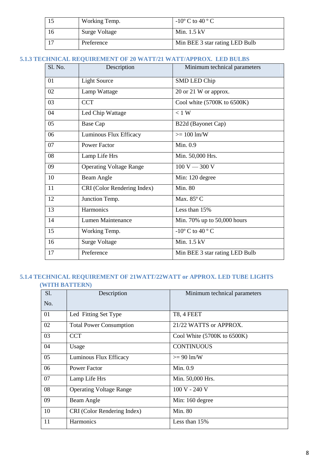| Working Temp. | $-10^{\circ}$ C to 40 $^{\circ}$ C |
|---------------|------------------------------------|
| Surge Voltage | Min. $1.5 \text{ kV}$              |
| Preference    | Min BEE 3 star rating LED Bulb     |

### <span id="page-7-0"></span>**5.1.3 TECHNICAL REQUIREMENT OF 20 WATT/21 WATT/APPROX. LED BULBS**

| Sl. No. | Description                    | Minimum technical parameters                  |
|---------|--------------------------------|-----------------------------------------------|
| 01      | <b>Light Source</b>            | <b>SMD LED Chip</b>                           |
| 02      | Lamp Wattage                   | 20 or 21 W or approx.                         |
| 03      | <b>CCT</b>                     | Cool white (5700K to 6500K)                   |
| 04      | Led Chip Wattage               | $< 1$ W                                       |
| 05      | <b>Base Cap</b>                | B22d (Bayonet Cap)                            |
| 06      | Luminous Flux Efficacy         | $>= 100$ lm/W                                 |
| 07      | <b>Power Factor</b>            | Min. 0.9                                      |
| 08      | Lamp Life Hrs                  | Min. 50,000 Hrs.                              |
| 09      | <b>Operating Voltage Range</b> | $100 V - 300 V$                               |
| 10      | Beam Angle                     | Min: 120 degree                               |
| 11      | CRI (Color Rendering Index)    | <b>Min. 80</b>                                |
| 12      | Junction Temp.                 | Max. 85° C                                    |
| 13      | Harmonics                      | Less than 15%                                 |
| 14      | Lumen Maintenance              | Min. 70% up to 50,000 hours                   |
| 15      | Working Temp.                  | -10 $\rm{^{\circ}}$ C to 40 $\rm{^{\circ}}$ C |
| 16      | <b>Surge Voltage</b>           | Min. $1.5$ kV                                 |
| 17      | Preference                     | Min BEE 3 star rating LED Bulb                |

### <span id="page-7-2"></span><span id="page-7-1"></span>**5.1.4 TECHNICAL REQUIREMENT OF 21WATT/22WATT or APPROX. LED TUBE LIGHTS (WITH BATTERN)**

| S1. | Description                    | Minimum technical parameters      |
|-----|--------------------------------|-----------------------------------|
| No. |                                |                                   |
| 01  | Led Fitting Set Type           | <b>T8, 4 FEET</b>                 |
| 02  | <b>Total Power Consumption</b> | 21/22 WATTS or APPROX.            |
| 03  | <b>CCT</b>                     | Cool White $(5700K)$ to $6500K$ ) |
| 04  | Usage                          | <b>CONTINUOUS</b>                 |
| 05  | Luminous Flux Efficacy         | $>= 90$ lm/W                      |
| 06  | <b>Power Factor</b>            | Min. 0.9                          |
| 07  | Lamp Life Hrs                  | Min. 50,000 Hrs.                  |
| 08  | <b>Operating Voltage Range</b> | $100 V - 240 V$                   |
| 09  | Beam Angle                     | Min: 160 degree                   |
| 10  | CRI (Color Rendering Index)    | Min. 80                           |
| 11  | Harmonics                      | Less than 15%                     |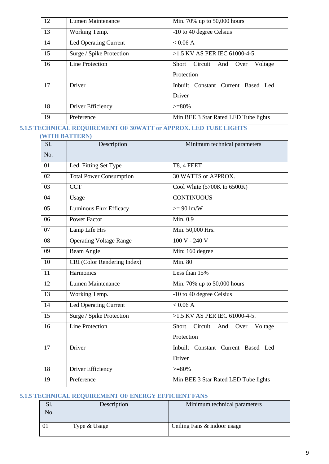| 12 | Lumen Maintenance            | Min. 70% up to $50,000$ hours                      |
|----|------------------------------|----------------------------------------------------|
| 13 | Working Temp.                | -10 to 40 degree Celsius                           |
| 14 | <b>Led Operating Current</b> | < 0.06 A                                           |
| 15 | Surge / Spike Protection     | $>1.5$ KV AS PER IEC 61000-4-5.                    |
| 16 | Line Protection              | Circuit And Over<br>Short<br>Voltage<br>Protection |
| 17 | Driver                       | Inbuilt Constant Current Based Led<br>Driver       |
| 18 | Driver Efficiency            | $>= 80\%$                                          |
| 19 | Preference                   | Min BEE 3 Star Rated LED Tube lights               |

### <span id="page-8-1"></span><span id="page-8-0"></span>**5.1.5 TECHNICAL REQUIREMENT OF 30WATT or APPROX. LED TUBE LIGHTS (WITH BATTERN)**

| S1. | Description                    | Minimum technical parameters               |
|-----|--------------------------------|--------------------------------------------|
| No. |                                |                                            |
| 01  | Led Fitting Set Type           | T8, 4 FEET                                 |
| 02  | <b>Total Power Consumption</b> | 30 WATTS or APPROX.                        |
| 03  | <b>CCT</b>                     | Cool White (5700K to 6500K)                |
| 04  | Usage                          | <b>CONTINUOUS</b>                          |
| 05  | Luminous Flux Efficacy         | $>= 90 \text{ lm/W}$                       |
| 06  | <b>Power Factor</b>            | Min. 0.9                                   |
| 07  | Lamp Life Hrs                  | Min. 50,000 Hrs.                           |
| 08  | Operating Voltage Range        | $100 V - 240 V$                            |
| 09  | <b>Beam Angle</b>              | Min: 160 degree                            |
| 10  | CRI (Color Rendering Index)    | Min. 80                                    |
| 11  | Harmonics                      | Less than 15%                              |
| 12  | Lumen Maintenance              | Min. 70% up to 50,000 hours                |
| 13  | Working Temp.                  | -10 to 40 degree Celsius                   |
| 14  | Led Operating Current          | < 0.06 A                                   |
| 15  | Surge / Spike Protection       | >1.5 KV AS PER IEC 61000-4-5.              |
| 16  | <b>Line Protection</b>         | Circuit<br>Short<br>Voltage<br>And<br>Over |
|     |                                | Protection                                 |
| 17  | Driver                         | Inbuilt Constant Current Based Led         |
|     |                                | Driver                                     |
| 18  | Driver Efficiency              | $>= 80%$                                   |
| 19  | Preference                     | Min BEE 3 Star Rated LED Tube lights       |

### <span id="page-8-2"></span>**5.1.5 TECHNICAL REQUIREMENT OF ENERGY EFFICIENT FANS**

| .וכ<br>No. | Description  | Minimum technical parameters |
|------------|--------------|------------------------------|
|            | Type & Usage | Ceiling Fans & indoor usage  |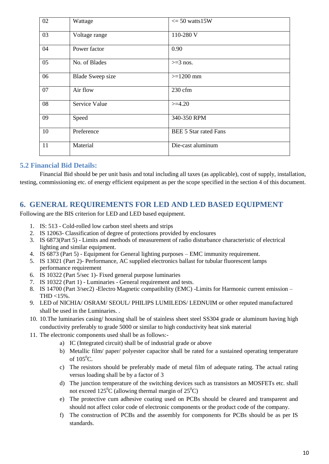| 02 | Wattage                 | $\epsilon$ = 50 watts 15W    |
|----|-------------------------|------------------------------|
| 03 | Voltage range           | 110-280 V                    |
| 04 | Power factor            | 0.90                         |
| 05 | No. of Blades           | $>=$ 3 nos.                  |
| 06 | <b>Blade Sweep size</b> | $>=1200$ mm                  |
| 07 | Air flow                | $230$ cfm                    |
| 08 | Service Value           | $>=4.20$                     |
| 09 | Speed                   | 340-350 RPM                  |
| 10 | Preference              | <b>BEE 5 Star rated Fans</b> |
| 11 | Material                | Die-cast aluminum            |

### <span id="page-9-0"></span>**5.2 Financial Bid Details:**

Financial Bid should be per unit basis and total including all taxes (as applicable), cost of supply, installation, testing, commissioning etc. of energy efficient equipment as per the scope specified in the section 4 of this document.

### <span id="page-9-1"></span>**6. GENERAL REQUIREMENTS FOR LED AND LED BASED EQUIPMENT**

Following are the BIS criterion for LED and LED based equipment.

- 1. IS: 513 Cold-rolled low carbon steel sheets and strips
- 2. IS 12063- Classification of degree of protections provided by enclosures
- 3. IS 6873(Part 5) Limits and methods of measurement of radio disturbance characteristic of electrical lighting and similar equipment.
- 4. IS 6873 (Part 5) Equipment for General lighting purposes EMC immunity requirement.
- 5. IS 13021 (Part 2)- Performance, AC supplied electronics ballast for tubular fluorescent lamps performance requirement
- 6. IS 10322 (Part 5/sec 1)- Fixed general purpose luminaries
- 7. IS 10322 (Part 1) Luminaries General requirement and tests.
- 8. IS 14700 (Part 3/sec2) -Electro Magnetic compatibility (EMC) -Limits for Harmonic current emission THD  $<15\%$ .
- 9. LED of NICHIA/ OSRAM/ SEOUL/ PHILIPS LUMILEDS/ LEDNUIM or other reputed manufactured shall be used in the Luminaries. .
- 10. 10.The luminaries casing/ housing shall be of stainless sheet steel SS304 grade or aluminum having high conductivity preferably to grade 5000 or similar to high conductivity heat sink material
- 11. The electronic components used shall be as follows:
	- a) IC (Integrated circuit) shall be of industrial grade or above
	- b) Metallic film/ paper/ polyester capacitor shall be rated for a sustained operating temperature of  $105^{\circ}$ C.
	- c) The resistors should be preferably made of metal film of adequate rating. The actual rating versus loading shall be by a factor of 3
	- d) The junction temperature of the switching devices such as transistors an MOSFETs etc. shall not exceed  $125^{\circ}$ C (allowing thermal margin of  $25^{\circ}$ C)
	- e) The protective cum adhesive coating used on PCBs should be cleared and transparent and should not affect color code of electronic components or the product code of the company.
	- f) The construction of PCBs and the assembly for components for PCBs should be as per IS standards.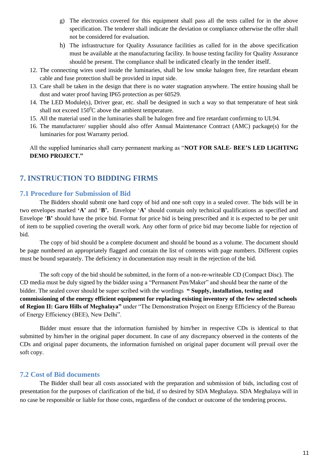- g) The electronics covered for this equipment shall pass all the tests called for in the above specification. The tenderer shall indicate the deviation or compliance otherwise the offer shall not be considered for evaluation.
- h) The infrastructure for Quality Assurance facilities as called for in the above specification must be available at the manufacturing facility. In house testing facility for Quality Assurance should be present. The compliance shall be indicated clearly in the tender itself.
- 12. The connecting wires used inside the luminaries, shall be low smoke halogen free, fire retardant ebeam cable and fuse protection shall be provided in input side.
- 13. Care shall be taken in the design that there is no water stagnation anywhere. The entire housing shall be dust and water proof having IP65 protection as per 60529.
- 14. The LED Module(s), Driver gear, etc. shall be designed in such a way so that temperature of heat sink shall not exceed  $150^{\circ}$ C above the ambient temperature.
- 15. All the material used in the luminaries shall be halogen free and fire retardant confirming to UL94.
- 16. The manufacturer/ supplier should also offer Annual Maintenance Contract (AMC) package(s) for the luminaries for post Warranty period.

All the supplied luminaries shall carry permanent marking as "**NOT FOR SALE- BEE'S LED LIGHTING DEMO PROJECT."**

### <span id="page-10-0"></span>**7. INSTRUCTION TO BIDDING FIRMS**

### <span id="page-10-1"></span>**7.1 Procedure for Submission of Bid**

The Bidders should submit one hard copy of bid and one soft copy in a sealed cover. The bids will be in two envelopes marked **'A'** and '**B'.** Envelope '**A'** should contain only technical qualifications as specified and Envelope '**B'** should have the price bid. Format for price bid is being prescribed and it is expected to be per unit of item to be supplied covering the overall work. Any other form of price bid may become liable for rejection of bid.

The copy of bid should be a complete document and should be bound as a volume. The document should be page numbered an appropriately flagged and contain the list of contents with page numbers. Different copies must be bound separately. The deficiency in documentation may result in the rejection of the bid.

The soft copy of the bid should be submitted, in the form of a non-re-writeable CD (Compact Disc). The CD media must be duly signed by the bidder using a "Permanent Pen/Maker" and should bear the name of the bidder. The sealed cover should be super scribed with the wordings **" Supply, installation, testing and commissioning of the energy efficient equipment for replacing existing inventory of the few selected schools of Region II: Garo Hills of Meghalaya"** under "The Demonstration Project on Energy Efficiency of the Bureau of Energy Efficiency (BEE), New Delhi".

Bidder must ensure that the information furnished by him/her in respective CDs is identical to that submitted by him/her in the original paper document. In case of any discrepancy observed in the contents of the CDs and original paper documents, the information furnished on original paper document will prevail over the soft copy.

### <span id="page-10-2"></span>**7.2 Cost of Bid documents**

The Bidder shall bear all costs associated with the preparation and submission of bids, including cost of presentation for the purposes of clarification of the bid, if so desired by SDA Meghalaya. SDA Meghalaya will in no case be responsible or liable for those costs, regardless of the conduct or outcome of the tendering process.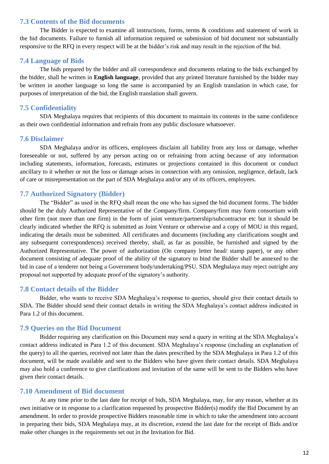#### <span id="page-11-0"></span>**7.3 Contents of the Bid documents**

The Bidder is expected to examine all instructions, forms, terms & conditions and statement of work in the bid documents. Failure to furnish all information required or submission of bid document not substantially responsive to the RFQ in every respect will be at the bidder's risk and may result in the rejection of the bid.

#### <span id="page-11-1"></span>**7.4 Language of Bids**

The bids prepared by the bidder and all correspondence and documents relating to the bids exchanged by the bidder, shall be written in **English language**, provided that any printed literature furnished by the bidder may be written in another language so long the same is accompanied by an English translation in which case, for purposes of interpretation of the bid, the English translation shall govern.

#### <span id="page-11-2"></span>**7.5 Confidentiality**

SDA Meghalaya requires that recipients of this document to maintain its contents in the same confidence as their own confidential information and refrain from any public disclosure whatsoever.

#### <span id="page-11-3"></span>**7.6 Disclaimer**

SDA Meghalaya and/or its officers, employees disclaim all liability from any loss or damage, whether foreseeable or not, suffered by any person acting on or refraining from acting because of any information including statements, information, forecasts, estimates or projections contained in this document or conduct ancillary to it whether or not the loss or damage arises in connection with any omission, negligence, default, lack of care or misrepresentation on the part of SDA Meghalaya and/or any of its officers, employees.

#### <span id="page-11-4"></span>**7.7 Authorized Signatory (Bidder)**

The "Bidder" as used in the RFQ shall mean the one who has signed the bid document forms. The bidder should be the duly Authorized Representative of the Company/firm. Company/firm may form consortium with other firm (not more than one firm) in the form of joint venture/partnership/subcontractor etc but it should be clearly indicated whether the RFQ is submitted as Joint Venture or otherwise and a copy of MOU in this regard, indicating the details must be submitted. All certificates and documents (including any clarifications sought and any subsequent correspondences) received thereby, shall, as far as possible, be furnished and signed by the Authorized Representative. The power of authorization (On company letter head/ stamp paper), or any other document consisting of adequate proof of the ability of the signatory to bind the Bidder shall be annexed to the bid in case of a tenderer not being a Government body/undertaking/PSU. SDA Meghalaya may reject outright any proposal not supported by adequate proof of the signatory's authority.

#### <span id="page-11-5"></span>**7.8 Contact details of the Bidder**

Bidder, who wants to receive SDA Meghalaya's response to queries, should give their contact details to SDA. The Bidder should send their contact details in writing the SDA Meghalaya's contact address indicated in Para 1.2 of this document.

#### <span id="page-11-6"></span>**7.9 Queries on the Bid Document**

Bidder requiring any clarification on this Document may send a query in writing at the SDA Meghalaya's contact address indicated in Para 1.2 of this document. SDA Meghalaya's response (including an explanation of the query) to all the queries, received not later than the dates prescribed by the SDA Meghalaya in Para 1.2 of this document, will be made available and sent to the Bidders who have given their contact details. SDA Meghalaya may also hold a conference to give clarifications and invitation of the same will be sent to the Bidders who have given their contact details.

#### <span id="page-11-7"></span>**7.10 Amendment of Bid document**

At any time prior to the last date for receipt of bids, SDA Meghalaya, may, for any reason, whether at its own initiative or in response to a clarification requested by prospective Bidder(s) modify the Bid Document by an amendment. In order to provide prospective Bidders reasonable time in which to take the amendment into account in preparing their bids, SDA Meghalaya may, at its discretion, extend the last date for the receipt of Bids and/or make other changes in the requirements set out in the Invitation for Bid.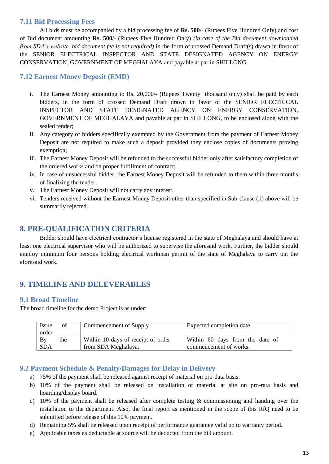### <span id="page-12-0"></span>**7.11 Bid Processing Fees**

All bids must be accompanied by a bid processing fee of **Rs. 500**/- (Rupees Five Hundred Only) and cost of Bid document amounting **Rs. 500**/- (Rupees Five Hundred Only) *(in case of the Bid document downloaded from SDA's website, bid document fee is not required)* in the form of crossed Demand Draft(s) drawn in favor of the SENIOR ELECTRICAL INSPECTOR AND STATE DESIGNATED AGENCY ON ENERGY CONSERVATION, GOVERNMENT OF MEGHALAYA and payable at par in SHILLONG.

### <span id="page-12-1"></span>**7.12 Earnest Money Deposit (EMD)**

- i. The Earnest Money amounting to Rs. 20,000/- (Rupees Twenty thousand only) shall be paid by each bidders, in the form of crossed Demand Draft drawn in favor of the SENIOR ELECTRICAL INSPECTOR AND STATE DESIGNATED AGENCY ON ENERGY CONSERVATION, GOVERNMENT OF MEGHALAYA and payable at par in SHILLONG, to be enclosed along with the sealed tender;
- ii. Any category of bidders specifically exempted by the Government from the payment of Earnest Money Deposit are not required to make such a deposit provided they enclose copies of documents proving exemption;
- iii. The Earnest Money Deposit will be refunded to the successful bidder only after satisfactory completion of the ordered works and on proper fulfillment of contract;
- iv. In case of unsuccessful bidder, the Earnest Money Deposit will be refunded to them within three months of finalizing the tender;
- v. The Earnest Money Deposit will not carry any interest.
- vi. Tenders received without the Earnest Money Deposit other than specified in Sub-clause (ii) above will be summarily rejected.

### <span id="page-12-2"></span>**8. PRE-QUALIFICATION CRITERIA**

Bidder should have electrical contractor's license registered in the state of Meghalaya and should have at least one electrical supervisor who will be authorized to supervise the aforesaid work. Further, the bidder should employ minimum four persons holding electrical workman permit of the state of Meghalaya to carry out the aforesaid work.

## <span id="page-12-3"></span>**9. TIMELINE AND DELEVERABLES**

### <span id="page-12-4"></span>**9.1 Broad Timeline**

The broad timeline for the demo Project is as under:

| Issue<br>of<br>order    | Commencement of Supply                                    | Expected completion date                                  |
|-------------------------|-----------------------------------------------------------|-----------------------------------------------------------|
| By<br>the<br><b>SDA</b> | Within 10 days of receipt of order<br>from SDA Meghalaya. | Within 60 days from the date of<br>commencement of works. |

### <span id="page-12-5"></span>**9.2 Payment Schedule & Penalty/Damages for Delay in Delivery**

- a) 75% of the payment shall be released against receipt of material on pro-data basis.
- b) 10% of the payment shall be released on installation of material at site on pro-rata basis and hoarding/display board.
- c) 10% of the payment shall be released after complete testing & commissioning and handing over the installation to the department. Also, the final report as mentioned in the scope of this RfQ need to be submitted before release of this 10% payment.
- d) Remaining 5% shall be released upon receipt of performance guarantee valid up to warranty period.
- e) Applicable taxes as deductable at source will be deducted from the bill amount.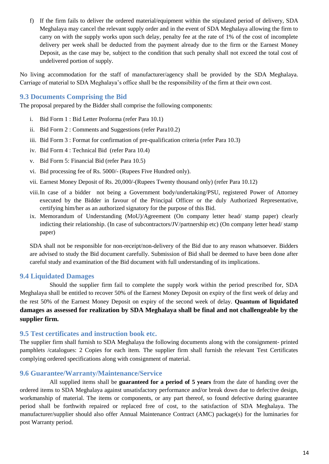f) If the firm fails to deliver the ordered material/equipment within the stipulated period of delivery, SDA Meghalaya may cancel the relevant supply order and in the event of SDA Meghalaya allowing the firm to carry on with the supply works upon such delay, penalty fee at the rate of 1% of the cost of incomplete delivery per week shall be deducted from the payment already due to the firm or the Earnest Money Deposit, as the case may be, subject to the condition that such penalty shall not exceed the total cost of undelivered portion of supply.

No living accommodation for the staff of manufacturer/agency shall be provided by the SDA Meghalaya. Carriage of material to SDA Meghalaya's office shall be the responsibility of the firm at their own cost.

#### <span id="page-13-0"></span>**9.3 Documents Comprising the Bid**

The proposal prepared by the Bidder shall comprise the following components:

- i. Bid Form 1 : Bid Letter Proforma (refer Para 10.1)
- ii. Bid Form 2 : Comments and Suggestions (refer Para10.2)
- iii. Bid Form 3 : Format for confirmation of pre-qualification criteria (refer Para 10.3)
- iv. Bid Form 4 : Technical Bid (refer Para 10.4)
- v. Bid Form 5: Financial Bid (refer Para 10.5)
- vi. Bid processing fee of Rs. 5000/- (Rupees Five Hundred only).
- vii. Earnest Money Deposit of Rs. 20,000/-(Rupees Twenty thousand only) (refer Para 10.12)
- viii.In case of a bidder not being a Government body/undertaking/PSU, registered Power of Attorney executed by the Bidder in favour of the Principal Officer or the duly Authorized Representative, certifying him/her as an authorized signatory for the purpose of this Bid.
- ix. Memorandum of Understanding (MoU)/Agreement (On company letter head/ stamp paper) clearly indicting their relationship. (In case of subcontractors/JV/partnership etc) (On company letter head/ stamp paper)

SDA shall not be responsible for non-receipt/non-delivery of the Bid due to any reason whatsoever. Bidders are advised to study the Bid document carefully. Submission of Bid shall be deemed to have been done after careful study and examination of the Bid document with full understanding of its implications.

#### <span id="page-13-1"></span>**9.4 Liquidated Damages**

Should the supplier firm fail to complete the supply work within the period prescribed for, SDA Meghalaya shall be entitled to recover 50% of the Earnest Money Deposit on expiry of the first week of delay and the rest 50% of the Earnest Money Deposit on expiry of the second week of delay. **Quantum of liquidated damages as assessed for realization by SDA Meghalaya shall be final and not challengeable by the supplier firm.**

#### <span id="page-13-2"></span>**9.5 Test certificates and instruction book etc.**

The supplier firm shall furnish to SDA Meghalaya the following documents along with the consignment- printed pamphlets /catalogues: 2 Copies for each item. The supplier firm shall furnish the relevant Test Certificates complying ordered specifications along with consignment of material.

#### <span id="page-13-3"></span>**9.6 Guarantee/Warranty/Maintenance/Service**

All supplied items shall be **guaranteed for a period of 5 years** from the date of handing over the ordered items to SDA Meghalaya against unsatisfactory performance and/or break down due to defective design, workmanship of material. The items or components, or any part thereof, so found defective during guarantee period shall be forthwith repaired or replaced free of cost, to the satisfaction of SDA Meghalaya. The manufacturer/supplier should also offer Annual Maintenance Contract (AMC) package(s) for the luminaries for post Warranty period.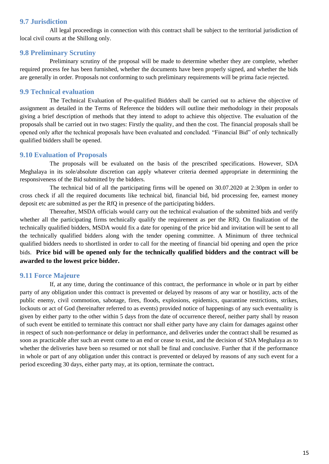#### <span id="page-14-0"></span>**9.7 Jurisdiction**

All legal proceedings in connection with this contract shall be subject to the territorial jurisdiction of local civil courts at the Shillong only.

#### <span id="page-14-1"></span>**9.8 Preliminary Scrutiny**

Preliminary scrutiny of the proposal will be made to determine whether they are complete, whether required process fee has been furnished, whether the documents have been properly signed, and whether the bids are generally in order. Proposals not conforming to such preliminary requirements will be prima facie rejected.

### <span id="page-14-2"></span>**9.9 Technical evaluation**

The Technical Evaluation of Pre-qualified Bidders shall be carried out to achieve the objective of assignment as detailed in the Terms of Reference the bidders will outline their methodology in their proposals giving a brief description of methods that they intend to adopt to achieve this objective. The evaluation of the proposals shall be carried out in two stages: Firstly the quality, and then the cost. The financial proposals shall be opened only after the technical proposals have been evaluated and concluded. "Financial Bid" of only technically qualified bidders shall be opened.

#### <span id="page-14-3"></span>**9.10 Evaluation of Proposals**

The proposals will be evaluated on the basis of the prescribed specifications. However, SDA Meghalaya in its sole/absolute discretion can apply whatever criteria deemed appropriate in determining the responsiveness of the Bid submitted by the bidders.

The technical bid of all the participating firms will be opened on 30.07.2020 at 2:30pm in order to cross check if all the required documents like technical bid, financial bid, bid processing fee, earnest money deposit etc are submitted as per the RfQ in presence of the participating bidders.

Thereafter, MSDA officials would carry out the technical evaluation of the submitted bids and verify whether all the participating firms technically qualify the requirement as per the RfQ. On finalization of the technically qualified bidders, MSDA would fix a date for opening of the price bid and invitation will be sent to all the technically qualified bidders along with the tender opening committee. A Minimum of three technical qualified bidders needs to shortlisted in order to call for the meeting of financial bid opening and open the price bids. **Price bid will be opened only for the technically qualified bidders and the contract will be awarded to the lowest price bidder.**

#### <span id="page-14-4"></span>**9.11 Force Majeure**

If, at any time, during the continuance of this contract, the performance in whole or in part by either party of any obligation under this contract is prevented or delayed by reasons of any war or hostility, acts of the public enemy, civil commotion, sabotage, fires, floods, explosions, epidemics, quarantine restrictions, strikes, lockouts or act of God (hereinafter referred to as events) provided notice of happenings of any such eventuality is given by either party to the other within 5 days from the date of occurrence thereof, neither party shall by reason of such event be entitled to terminate this contract nor shall either party have any claim for damages against other in respect of such non-performance or delay in performance, and deliveries under the contract shall be resumed as soon as practicable after such an event come to an end or cease to exist, and the decision of SDA Meghalaya as to whether the deliveries have been so resumed or not shall be final and conclusive. Further that if the performance in whole or part of any obligation under this contract is prevented or delayed by reasons of any such event for a period exceeding 30 days, either party may, at its option, terminate the contract**.**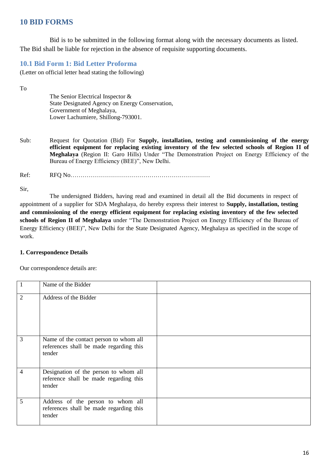## <span id="page-15-0"></span>**10 BID FORMS**

Bid is to be submitted in the following format along with the necessary documents as listed. The Bid shall be liable for rejection in the absence of requisite supporting documents.

### <span id="page-15-1"></span>**10.1 Bid Form 1: Bid Letter Proforma**

(Letter on official letter head stating the following)

To

The Senior Electrical Inspector & State Designated Agency on Energy Conservation, Government of Meghalaya, Lower Lachumiere, Shillong-793001.

Sub: Request for Quotation (Bid) For **Supply, installation, testing and commissioning of the energy efficient equipment for replacing existing inventory of the few selected schools of Region II of Meghalaya** (Region II: Garo Hills) Under "The Demonstration Project on Energy Efficiency of the Bureau of Energy Efficiency (BEE)", New Delhi.

Ref: RFQ No……………………………………………………………

Sir,

The undersigned Bidders, having read and examined in detail all the Bid documents in respect of appointment of a supplier for SDA Meghalaya, do hereby express their interest to **Supply, installation, testing and commissioning of the energy efficient equipment for replacing existing inventory of the few selected schools of Region II of Meghalaya** under "The Demonstration Project on Energy Efficiency of the Bureau of Energy Efficiency (BEE)", New Delhi for the State Designated Agency, Meghalaya as specified in the scope of work.

#### **1. Correspondence Details**

Our correspondence details are:

| 1              | Name of the Bidder                                                                          |  |
|----------------|---------------------------------------------------------------------------------------------|--|
| $\overline{2}$ | Address of the Bidder                                                                       |  |
| 3              | Name of the contact person to whom all<br>references shall be made regarding this<br>tender |  |
| 4              | Designation of the person to whom all<br>reference shall be made regarding this<br>tender   |  |
| 5              | Address of the person to whom all<br>references shall be made regarding this<br>tender      |  |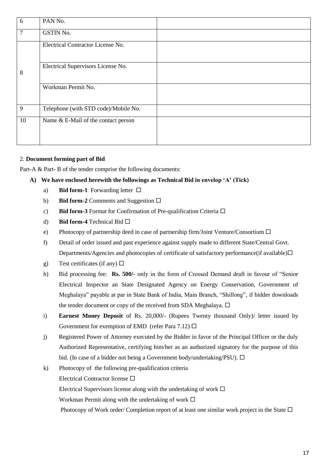| 6              | PAN No.                              |
|----------------|--------------------------------------|
| $\overline{7}$ | GSTIN No.                            |
|                | Electrical Contractor License No.    |
| 8              | Electrical Supervisors License No.   |
|                | Workman Permit No.                   |
| 9              | Telephone (with STD code)/Mobile No. |
| 10             | Name & E-Mail of the contact person  |

#### 2. **Document forming part of Bid**

Part-A & Part-B of the tender comprise the following documents:

#### **A) We have enclosed herewith the followings as Technical Bid in envelop 'A' (Tick)**

- a) **Bid form-1** Forwarding letter  $\Box$
- b) **Bid form-2** Comments and Suggestion  $\Box$
- c) **Bid form-3** Format for Confirmation of Pre-qualification Criteria  $\Box$
- d) **Bid form-4** Technical Bid
- e) Photocopy of partnership deed in case of partnership firm/Joint Venture/Consortium  $\Box$
- f) Detail of order issued and past experience against supply made to different State/Central Govt. Departments/Agencies and photocopies of certificate of satisfactory performance (if available) $\square$
- g) Test certificates (if any)  $\Box$
- h) Bid processing fee: **Rs. 500/-** only in the form of Crossed Demand draft in favour of "Senior Electrical Inspector an State Designated Agency on Energy Conservation, Government of Meghalaya" payable at par in State Bank of India, Main Branch, "Shillong", if bidder downloads the tender document or copy of the received from SDA Meghalaya.  $\Box$
- i) **Earnest Money Deposit** of Rs. 20,000/- (Rupees Twenty thousand Only)/ letter issued by Government for exemption of EMD (refer Para 7.12)  $\Box$
- j) Registered Power of Attorney executed by the Bidder in favor of the Principal Officer or the duly Authorized Representative, certifying him/her as an authorized signatory for the purpose of this bid. (In case of a bidder not being a Government body/undertaking/PSU).  $\Box$
- k) Photocopy of the following pre-qualification criteria Electrical Contractor license Electrical Supervisors license along with the undertaking of work  $\Box$ Workman Permit along with the undertaking of work  $\Box$ Photocopy of Work order/ Completion report of at least one similar work project in the State  $\Box$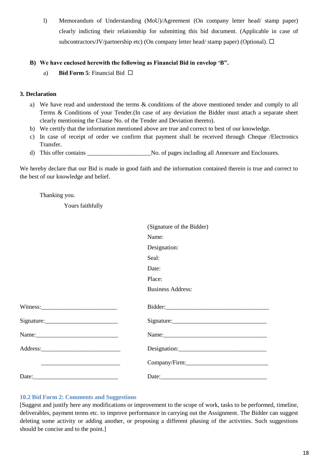l) Memorandum of Understanding (MoU)/Agreement (On company letter head/ stamp paper) clearly indicting their relationship for submitting this bid document. (Applicable in case of subcontractors/JV/partnership etc) (On company letter head/ stamp paper) (Optional).  $\Box$ 

#### **B) We have enclosed herewith the following as Financial Bid in envelop 'B".**

a) **Bid Form 5**: Financial Bid  $\Box$ 

#### **3. Declaration**

- a) We have read and understood the terms & conditions of the above mentioned tender and comply to all Terms & Conditions of your Tender.(In case of any deviation the Bidder must attach a separate sheet clearly mentioning the Clause No. of the Tender and Deviation thereto).
- b) We certify that the information mentioned above are true and correct to best of our knowledge.
- c) In case of receipt of order we confirm that payment shall be received through Cheque /Electronics Transfer.
- d) This offer contains \_\_\_\_\_\_\_\_\_\_\_\_\_\_\_\_\_\_\_\_\_No. of pages including all Annexure and Enclosures.

We hereby declare that our Bid is made in good faith and the information contained therein is true and correct to the best of our knowledge and belief.

Thanking you.

Yours faithfully

| (Signature of the Bidder) |
|---------------------------|
|                           |
|                           |
|                           |
|                           |
|                           |
|                           |
| <b>Business Address:</b>  |
|                           |
|                           |
|                           |
|                           |
|                           |
| Company/Firm:             |
|                           |
|                           |

#### <span id="page-17-0"></span>**10.2 Bid Form 2: Comments and Suggestions**

[Suggest and justify here any modifications or improvement to the scope of work, tasks to be performed, timeline, deliverables, payment terms etc. to improve performance in carrying out the Assignment. The Bidder can suggest deleting some activity or adding another, or proposing a different phasing of the activities. Such suggestions should be concise and to the point.]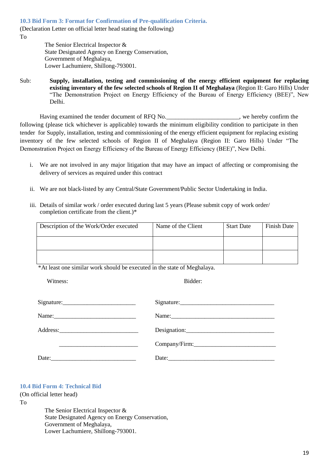<span id="page-18-0"></span>**10.3 Bid Form 3: Format for Confirmation of Pre-qualification Criteria.**

(Declaration Letter on official letter head stating the following) To

> The Senior Electrical Inspector & State Designated Agency on Energy Conservation, Government of Meghalaya, Lower Lachumiere, Shillong-793001.

Sub: **Supply, installation, testing and commissioning of the energy efficient equipment for replacing existing inventory of the few selected schools of Region II of Meghalaya** (Region II: Garo Hills) Under "The Demonstration Project on Energy Efficiency of the Bureau of Energy Efficiency (BEE)", New Delhi.

Having examined the tender document of RFQ No.  $\blacksquare$ , we hereby confirm the following (please tick whichever is applicable) towards the minimum eligibility condition to participate in then tender for Supply, installation, testing and commissioning of the energy efficient equipment for replacing existing inventory of the few selected schools of Region II of Meghalaya (Region II: Garo Hills) Under "The Demonstration Project on Energy Efficiency of the Bureau of Energy Efficiency (BEE)", New Delhi.

- i. We are not involved in any major litigation that may have an impact of affecting or compromising the delivery of services as required under this contract
- ii. We are not black-listed by any Central/State Government/Public Sector Undertaking in India.
- iii. Details of similar work / order executed during last 5 years (Please submit copy of work order/ completion certificate from the client.)\*

| Description of the Work/Order executed | Name of the Client | <b>Start Date</b> | Finish Date |
|----------------------------------------|--------------------|-------------------|-------------|
|                                        |                    |                   |             |
|                                        |                    |                   |             |

\*At least one similar work should be executed in the state of Meghalaya.

Witness: Bidder:

| Signature:                                                                                                                                                                                                                                                                                                                                                                                                                                        |               |
|---------------------------------------------------------------------------------------------------------------------------------------------------------------------------------------------------------------------------------------------------------------------------------------------------------------------------------------------------------------------------------------------------------------------------------------------------|---------------|
|                                                                                                                                                                                                                                                                                                                                                                                                                                                   | Name:         |
|                                                                                                                                                                                                                                                                                                                                                                                                                                                   |               |
|                                                                                                                                                                                                                                                                                                                                                                                                                                                   | Company/Firm: |
| Date: $\frac{1}{\sqrt{1-\frac{1}{2}} \cdot \frac{1}{2} \cdot \frac{1}{2} \cdot \frac{1}{2} \cdot \frac{1}{2} \cdot \frac{1}{2} \cdot \frac{1}{2} \cdot \frac{1}{2} \cdot \frac{1}{2} \cdot \frac{1}{2} \cdot \frac{1}{2} \cdot \frac{1}{2} \cdot \frac{1}{2} \cdot \frac{1}{2} \cdot \frac{1}{2} \cdot \frac{1}{2} \cdot \frac{1}{2} \cdot \frac{1}{2} \cdot \frac{1}{2} \cdot \frac{1}{2} \cdot \frac{1}{2} \cdot \frac{1}{2} \cdot \frac{1}{2}$ |               |

#### <span id="page-18-1"></span>**10.4 Bid Form 4: Technical Bid**

(On official letter head)

To

The Senior Electrical Inspector & State Designated Agency on Energy Conservation, Government of Meghalaya, Lower Lachumiere, Shillong-793001.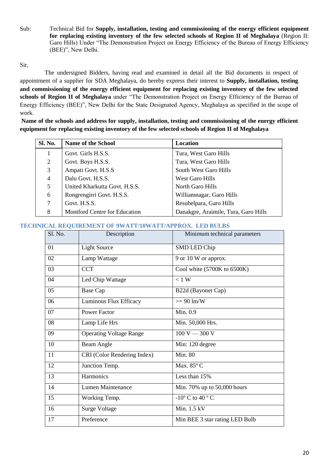Sub: Technical Bid for **Supply, installation, testing and commissioning of the energy efficient equipment for replacing existing inventory of the few selected schools of Region II of Meghalaya** (Region II: Garo Hills) Under "The Demonstration Project on Energy Efficiency of the Bureau of Energy Efficiency (BEE)", New Delhi.

#### Sir,

The undersigned Bidders, having read and examined in detail all the Bid documents in respect of appointment of a supplier for SDA Meghalaya, do hereby express their interest to **Supply, installation, testing and commissioning of the energy efficient equipment for replacing existing inventory of the few selected schools of Region II of Meghalaya** under "The Demonstration Project on Energy Efficiency of the Bureau of Energy Efficiency (BEE)", New Delhi for the State Designated Agency, Meghalaya as specified in the scope of work.

**Name of the schools and address for supply, installation, testing and commissioning of the energy efficient equipment for replacing existing inventory of the few selected schools of Region II of Meghalaya**

| Sl. No. | <b>Name of the School</b>     | <b>Location</b>                      |
|---------|-------------------------------|--------------------------------------|
|         | Govt. Girls H.S.S.            | Tura, West Garo Hills                |
| 2       | Govt. Boys H.S.S.             | Tura, West Garo Hills                |
| 3       | Ampati Govt. H.S.S            | South West Garo Hills                |
| 4       | Dalu Govt. H.S.S.             | West Garo Hills                      |
| 5       | United Kharkutta Govt. H.S.S. | North Garo Hills                     |
| 6       | Rongrengirri Govt. H.S.S.     | Williamnagar, Garo Hills             |
| 7       | Govt. H.S.S.                  | Resubelpara, Garo Hills              |
| 8       | Montford Centre for Education | Danakgre, Araimile, Tura, Garo Hills |

#### <span id="page-19-0"></span>**TECHNICAL REQUIREMENT OF 9WATT/10WATT/APPROX. LED BULBS**

| Sl. No. | Description                    | Minimum technical parameters      |
|---------|--------------------------------|-----------------------------------|
| 01      | <b>Light Source</b>            | SMD LED Chip                      |
| 02      | Lamp Wattage                   | 9 or 10 W or approx.              |
| 03      | <b>CCT</b>                     | Cool white $(5700K)$ to $6500K$ ) |
| 04      | Led Chip Wattage               | $< 1$ W                           |
| 05      | <b>Base Cap</b>                | B22d (Bayonet Cap)                |
| 06      | Luminous Flux Efficacy         | $>= 90 \text{ lm/W}$              |
| 07      | <b>Power Factor</b>            | Min. 0.9                          |
| 08      | Lamp Life Hrs                  | Min. 50,000 Hrs.                  |
| 09      | <b>Operating Voltage Range</b> | $100 V - 300 V$                   |
| 10      | Beam Angle                     | Min: 120 degree                   |
| 11      | CRI (Color Rendering Index)    | <b>Min. 80</b>                    |
| 12      | Junction Temp.                 | Max. 85° C                        |
| 13      | Harmonics                      | Less than 15%                     |
| 14      | Lumen Maintenance              | Min. 70% up to 50,000 hours       |
| 15      | Working Temp.                  | $-10^{\circ}$ C to 40 °C          |
| 16      | <b>Surge Voltage</b>           | Min. 1.5 kV                       |
| 17      | Preference                     | Min BEE 3 star rating LED Bulb    |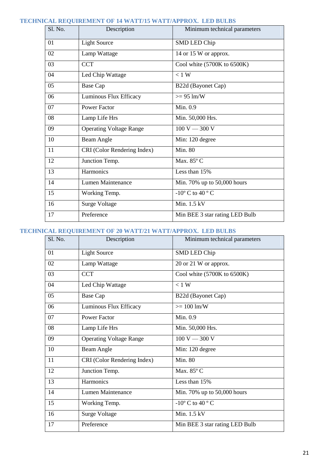### <span id="page-20-0"></span>**TECHNICAL REQUIREMENT OF 14 WATT/15 WATT/APPROX. LED BULBS**

| Sl. No. | Description                    | Minimum technical parameters                  |
|---------|--------------------------------|-----------------------------------------------|
| 01      | <b>Light Source</b>            | <b>SMD LED Chip</b>                           |
| 02      | Lamp Wattage                   | 14 or 15 W or approx.                         |
| 03      | <b>CCT</b>                     | Cool white (5700K to 6500K)                   |
| 04      | Led Chip Wattage               | < 1 W                                         |
| 05      | Base Cap                       | B22d (Bayonet Cap)                            |
| 06      | Luminous Flux Efficacy         | $>= 95 \text{ lm/W}$                          |
| 07      | <b>Power Factor</b>            | Min. 0.9                                      |
| 08      | Lamp Life Hrs                  | Min. 50,000 Hrs.                              |
| 09      | <b>Operating Voltage Range</b> | $100 V - 300 V$                               |
| 10      | Beam Angle                     | Min: 120 degree                               |
| 11      | CRI (Color Rendering Index)    | Min. 80                                       |
| 12      | Junction Temp.                 | Max. 85° C                                    |
| 13      | Harmonics                      | Less than 15%                                 |
| 14      | Lumen Maintenance              | Min. 70% up to 50,000 hours                   |
| 15      | Working Temp.                  | -10 $\rm{^{\circ}}$ C to 40 $\rm{^{\circ}}$ C |
| 16      | <b>Surge Voltage</b>           | Min. 1.5 kV                                   |
| 17      | Preference                     | Min BEE 3 star rating LED Bulb                |

### <span id="page-20-1"></span>**TECHNICAL REQUIREMENT OF 20 WATT/21 WATT/APPROX. LED BULBS**

| Sl. No. | Description                    | Minimum technical parameters       |
|---------|--------------------------------|------------------------------------|
| 01      | <b>Light Source</b>            | SMD LED Chip                       |
| 02      | Lamp Wattage                   | 20 or 21 W or approx.              |
| 03      | <b>CCT</b>                     | Cool white (5700K to 6500K)        |
| 04      | Led Chip Wattage               | $< 1$ W                            |
| 05      | Base Cap                       | B22d (Bayonet Cap)                 |
| 06      | Luminous Flux Efficacy         | $>= 100$ lm/W                      |
| 07      | <b>Power Factor</b>            | Min. 0.9                           |
| 08      | Lamp Life Hrs                  | Min. 50,000 Hrs.                   |
| 09      | <b>Operating Voltage Range</b> | $100 V - 300 V$                    |
| 10      | Beam Angle                     | Min: 120 degree                    |
| 11      | CRI (Color Rendering Index)    | <b>Min. 80</b>                     |
| 12      | Junction Temp.                 | Max. 85° C                         |
| 13      | Harmonics                      | Less than 15%                      |
| 14      | Lumen Maintenance              | Min. 70% up to 50,000 hours        |
| 15      | Working Temp.                  | -10° C to $\overline{40^{\circ}C}$ |
| 16      | <b>Surge Voltage</b>           | Min. 1.5 kV                        |
| 17      | Preference                     | Min BEE 3 star rating LED Bulb     |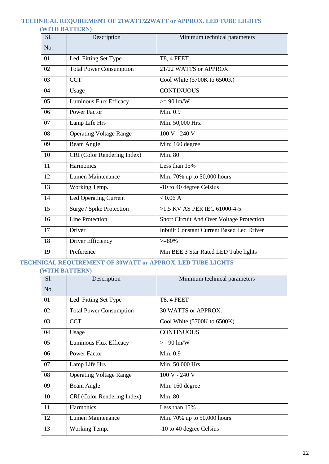#### <span id="page-21-1"></span><span id="page-21-0"></span>**TECHNICAL REQUIREMENT OF 21WATT/22WATT or APPROX. LED TUBE LIGHTS (WITH BATTERN)**

| S1. | Description                    | Minimum technical parameters                     |
|-----|--------------------------------|--------------------------------------------------|
| No. |                                |                                                  |
| 01  | Led Fitting Set Type           | T8, 4 FEET                                       |
| 02  | <b>Total Power Consumption</b> | 21/22 WATTS or APPROX.                           |
| 03  | <b>CCT</b>                     | Cool White (5700K to 6500K)                      |
| 04  | Usage                          | <b>CONTINUOUS</b>                                |
| 05  | Luminous Flux Efficacy         | $>= 90 \text{ lm/W}$                             |
| 06  | <b>Power Factor</b>            | Min. 0.9                                         |
| 07  | Lamp Life Hrs                  | Min. 50,000 Hrs.                                 |
| 08  | <b>Operating Voltage Range</b> | $100 V - 240 V$                                  |
| 09  | Beam Angle                     | Min: 160 degree                                  |
| 10  | CRI (Color Rendering Index)    | <b>Min. 80</b>                                   |
| 11  | Harmonics                      | Less than 15%                                    |
| 12  | Lumen Maintenance              | Min. 70% up to 50,000 hours                      |
| 13  | Working Temp.                  | -10 to 40 degree Celsius                         |
| 14  | <b>Led Operating Current</b>   | < 0.06 A                                         |
| 15  | Surge / Spike Protection       | >1.5 KV AS PER IEC 61000-4-5.                    |
| 16  | <b>Line Protection</b>         | Short Circuit And Over Voltage Protection        |
| 17  | Driver                         | <b>Inbuilt Constant Current Based Led Driver</b> |
| 18  | Driver Efficiency              | $>= 80\%$                                        |
| 19  | Preference                     | Min BEE 3 Star Rated LED Tube lights             |

## <span id="page-21-3"></span><span id="page-21-2"></span>**TECHNICAL REQUIREMENT OF 30WATT or APPROX. LED TUBE LIGHTS**

**(WITH BATTERN)**

| <b>S1.</b> | Description                    | Minimum technical parameters      |
|------------|--------------------------------|-----------------------------------|
| No.        |                                |                                   |
| 01         | Led Fitting Set Type           | T8, 4 FEET                        |
| 02         | <b>Total Power Consumption</b> | 30 WATTS or APPROX.               |
| 03         | <b>CCT</b>                     | Cool White $(5700K)$ to $6500K$ ) |
| 04         | Usage                          | <b>CONTINUOUS</b>                 |
| 05         | Luminous Flux Efficacy         | $>= 90 \text{ lm/W}$              |
| 06         | <b>Power Factor</b>            | Min. 0.9                          |
| 07         | Lamp Life Hrs                  | Min. 50,000 Hrs.                  |
| 08         | <b>Operating Voltage Range</b> | 100 V - 240 V                     |
| 09         | Beam Angle                     | Min: 160 degree                   |
| 10         | CRI (Color Rendering Index)    | Min. 80                           |
| 11         | Harmonics                      | Less than 15%                     |
| 12         | Lumen Maintenance              | Min. 70% up to 50,000 hours       |
| 13         | Working Temp.                  | -10 to 40 degree Celsius          |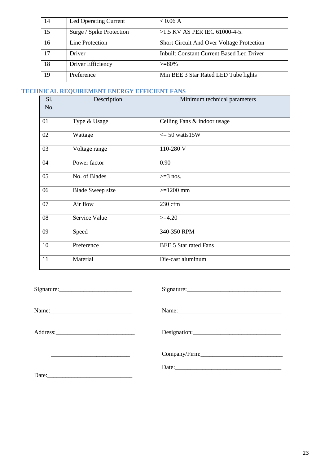| 14 | Led Operating Current    | < 0.06 A                                  |
|----|--------------------------|-------------------------------------------|
| 15 | Surge / Spike Protection | $>1.5$ KV AS PER IEC 61000-4-5.           |
| 16 | Line Protection          | Short Circuit And Over Voltage Protection |
| 17 | Driver                   | Inbuilt Constant Current Based Led Driver |
| 18 | Driver Efficiency        | $>= 80\%$                                 |
| 19 | Preference               | Min BEE 3 Star Rated LED Tube lights      |

### <span id="page-22-0"></span>**TECHNICAL REQUIREMENT ENERGY EFFICIENT FANS**

| S1.<br>No. | Description             | Minimum technical parameters |
|------------|-------------------------|------------------------------|
| 01         | Type & Usage            | Ceiling Fans & indoor usage  |
| 02         | Wattage                 | $\epsilon$ = 50 watts 15W    |
| 03         | Voltage range           | 110-280 V                    |
| 04         | Power factor            | 0.90                         |
| 05         | No. of Blades           | $>=$ 3 nos.                  |
| 06         | <b>Blade Sweep size</b> | $>=1200$ mm                  |
| 07         | Air flow                | $230$ cfm                    |
| 08         | Service Value           | $>=4.20$                     |
| 09         | Speed                   | 340-350 RPM                  |
| 10         | Preference              | <b>BEE 5 Star rated Fans</b> |
| 11         | Material                | Die-cast aluminum            |

| Signature: | Signature:    |
|------------|---------------|
|            |               |
| Name:      |               |
|            | Designation:  |
|            | Company/Firm: |
|            |               |
|            |               |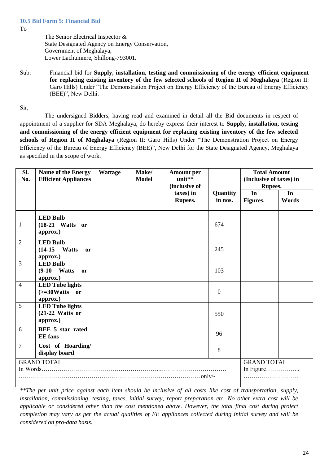<span id="page-23-0"></span>To

The Senior Electrical Inspector & State Designated Agency on Energy Conservation, Government of Meghalaya, Lower Lachumiere, Shillong-793001.

Sub: Financial bid for **Supply, installation, testing and commissioning of the energy efficient equipment for replacing existing inventory of the few selected schools of Region II of Meghalaya** (Region II: Garo Hills) Under "The Demonstration Project on Energy Efficiency of the Bureau of Energy Efficiency (BEE)", New Delhi.

Sir,

The undersigned Bidders, having read and examined in detail all the Bid documents in respect of appointment of a supplier for SDA Meghalaya, do hereby express their interest to **Supply, installation, testing and commissioning of the energy efficient equipment for replacing existing inventory of the few selected schools of Region II of Meghalaya** (Region II: Garo Hills) Under "The Demonstration Project on Energy Efficiency of the Bureau of Energy Efficiency (BEE)", New Delhi for the State Designated Agency, Meghalaya as specified in the scope of work.

| Sl.<br>No.         | Name of the Energy<br><b>Efficient Appliances</b>                        | Wattage | Make/<br><b>Model</b> | <b>Amount per</b><br>unit**<br>(inclusive of |                     | <b>Total Amount</b><br>(Inclusive of taxes) in<br>Rupees. |             |
|--------------------|--------------------------------------------------------------------------|---------|-----------------------|----------------------------------------------|---------------------|-----------------------------------------------------------|-------------|
|                    |                                                                          |         |                       | taxes) in<br>Rupees.                         | Quantity<br>in nos. | In<br>Figures.                                            | In<br>Words |
| $\mathbf{1}$       | <b>LED Bulb</b><br>$(18-21$ Watts or<br>approx.)                         |         |                       |                                              | 674                 |                                                           |             |
| $\overline{2}$     | <b>LED Bulb</b><br>$(14-15)$<br><b>Watts</b><br>or<br>approx.)           |         |                       |                                              | 245                 |                                                           |             |
| 3                  | <b>LED Bulb</b><br>$(9-10$ Watts<br><b>or</b><br>approx.)                |         |                       |                                              | 103                 |                                                           |             |
| $\overline{4}$     | <b>LED Tube lights</b><br>$\left(>=30Watts \quad or \right)$<br>approx.) |         |                       |                                              | $\overline{0}$      |                                                           |             |
| 5                  | <b>LED Tube lights</b><br>$(21-22$ Watts or<br>approx.)                  |         |                       |                                              | 550                 |                                                           |             |
| 6                  | <b>BEE 5 star rated</b><br><b>EE</b> fans                                |         |                       |                                              | 96                  |                                                           |             |
| $\overline{7}$     | Cost of Hoarding/<br>display board                                       |         |                       |                                              | 8                   |                                                           |             |
| <b>GRAND TOTAL</b> |                                                                          |         |                       | <b>GRAND TOTAL</b><br>In Figure              |                     |                                                           |             |

*\*\*The per unit price against each item should be inclusive of all costs like cost of transportation, supply, installation, commissioning, testing, taxes, initial survey, report preparation etc. No other extra cost will be applicable or considered other than the cost mentioned above. However, the total final cost during project completion may vary as per the actual qualities of EE appliances collected during initial survey and will be considered on pro-data basis.*